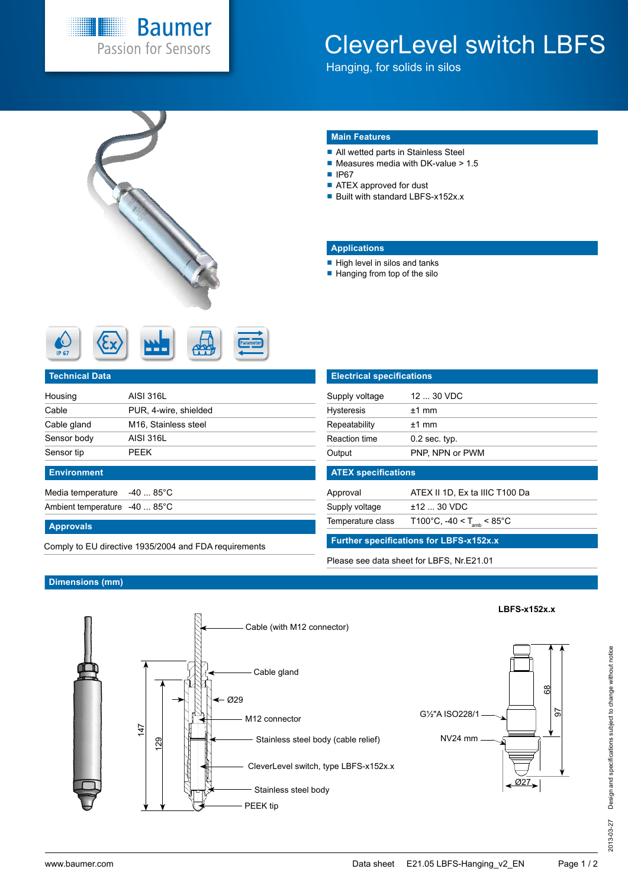

# CleverLevel switch LBFS

Hanging, for solids in silos



### **Main Features**

- All wetted parts in Stainless Steel
- $\blacksquare$  Measures media with DK-value > 1.5
- IP67
- ATEX approved for dust
- Built with standard LBFS-x152x.x

#### **Applications**

- $\blacksquare$  High level in silos and tanks
- Hanging from top of the silo

| <b>IP 67</b> |  | . . |  |  |
|--------------|--|-----|--|--|
|--------------|--|-----|--|--|

#### **Technical Data**

| Housing     | AISI 316L                         |
|-------------|-----------------------------------|
| Cable       | PUR, 4-wire, shielded             |
| Cable gland | M <sub>16</sub> , Stainless steel |
| Sensor body | AISI 316L                         |
| Sensor tip  | PFFK                              |
|             |                                   |

### **Environment**

Media temperature -40 ... 85°C Ambient temperature -40 ... 85°C

#### **Approvals**

**Further specifications for LBFS-x152x.x** Comply to EU directive 1935/2004 and FDA requirements

| <b>Electrical specifications</b> |                 |  |
|----------------------------------|-----------------|--|
| Supply voltage                   | 12  30 VDC      |  |
| <b>Hysteresis</b>                | $+1$ mm         |  |
| Repeatability                    | $+1$ mm         |  |
| <b>Reaction time</b>             | $0.2$ sec. typ. |  |
| Output                           | PNP, NPN or PWM |  |

#### **ATEX specifications**

Approval ATEX II 1D, Ex ta IIIC T100 Da

Supply voltage  $\pm 12$  ... 30 VDC

Temperature class  $T100^{\circ}$ C, -40 <  $T_{\text{amb}}$  < 85 $^{\circ}$ C

Please see data sheet for LBFS, Nr.E21.01

#### **Dimensions (mm)**